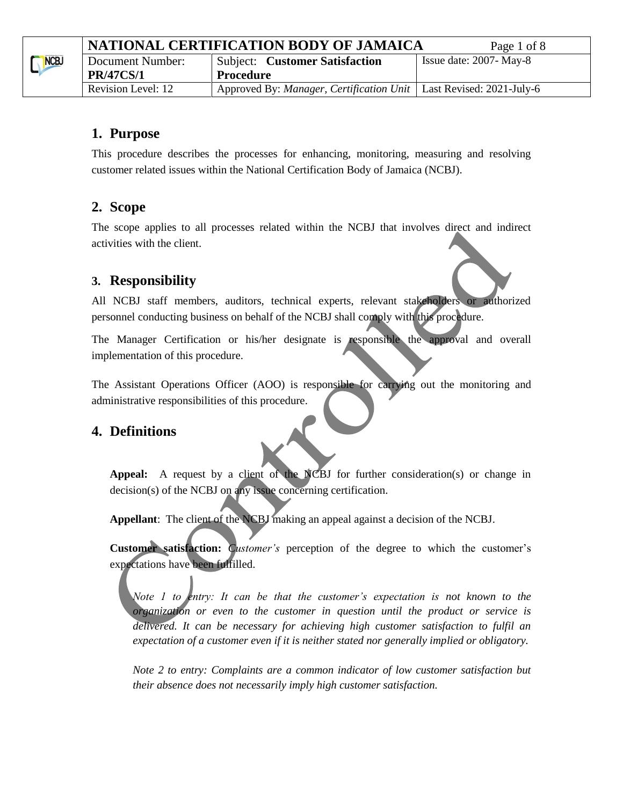|      | NATIONAL CERTIFICATION BODY OF JAMAICA | Page 1 of 8                                                                 |                            |
|------|----------------------------------------|-----------------------------------------------------------------------------|----------------------------|
| NCBJ | Document Number:                       | <b>Subject: Customer Satisfaction</b>                                       | Issue date: $2007 - May-8$ |
|      | <b>PR/47CS/1</b>                       | <b>Procedure</b>                                                            |                            |
|      | Revision Level: 12                     | Approved By: <i>Manager, Certification Unit</i>   Last Revised: 2021-July-6 |                            |

## **1. Purpose**

This procedure describes the processes for enhancing, monitoring, measuring and resolving customer related issues within the National Certification Body of Jamaica (NCBJ).

# **2. Scope**

The scope applies to all processes related within the NCBJ that involves direct and indirect activities with the client.

# **3. Responsibility**

All NCBJ staff members, auditors, technical experts, relevant stakeholders or authorized personnel conducting business on behalf of the NCBJ shall comply with this procedure.

The Manager Certification or his/her designate is responsible the approval and overall implementation of this procedure.

The Assistant Operations Officer (AOO) is responsible for carrying out the monitoring and administrative responsibilities of this procedure.

## **4. Definitions**

**Appeal:** A request by a client of the NCBJ for further consideration(s) or change in decision(s) of the NCBJ on any issue concerning certification.

**Appellant**: The client of the NCBJ making an appeal against a decision of the NCBJ.

**Customer satisfaction:** *Customer's* perception of the degree to which the customer's expectations have been fulfilled.

*Note 1 to entry: It can be that the customer's expectation is not known to the organization or even to the customer in question until the product or service is delivered. It can be necessary for achieving high customer satisfaction to fulfil an expectation of a customer even if it is neither stated nor generally implied or obligatory.*

*Note 2 to entry: Complaints are a common indicator of low customer satisfaction but their absence does not necessarily imply high customer satisfaction.*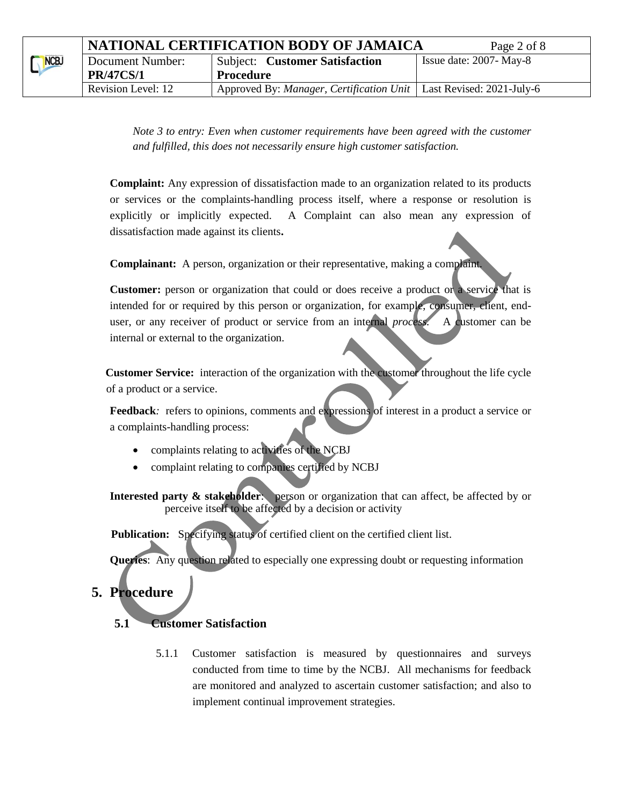*Note 3 to entry: Even when customer requirements have been agreed with the customer and fulfilled, this does not necessarily ensure high customer satisfaction.*

**Complaint:** Any expression of dissatisfaction made to an organization related to its products or services or the complaints-handling process itself, where a response or resolution is explicitly or implicitly expected. A Complaint can also mean any expression of dissatisfaction made against its clients**.** 

**Complainant:** A person, organization or their representative, making a complaint.

**Customer:** person or organization that could or does receive a product or a service that is intended for or required by this person or organization, for example, consumer, client, enduser, or any receiver of product or service from an internal *process.* A customer can be internal or external to the organization.

 **Customer Service:** interaction of the organization with the customer throughout the life cycle of a product or a service.

**Feedback***:* refers to opinions, comments and expressions of interest in a product a service or a complaints-handling process:

- complaints relating to activities of the NCBJ
- complaint relating to companies certified by NCBJ

**Interested party & stakeholder:** person or organization that can affect, be affected by or perceive itself to be affected by a decision or activity

Publication: Specifying status of certified client on the certified client list.

**Queries:** Any question related to especially one expressing doubt or requesting information

# **5. Procedure**

#### **5.1 Customer Satisfaction**

5.1.1 Customer satisfaction is measured by questionnaires and surveys conducted from time to time by the NCBJ. All mechanisms for feedback are monitored and analyzed to ascertain customer satisfaction; and also to implement continual improvement strategies.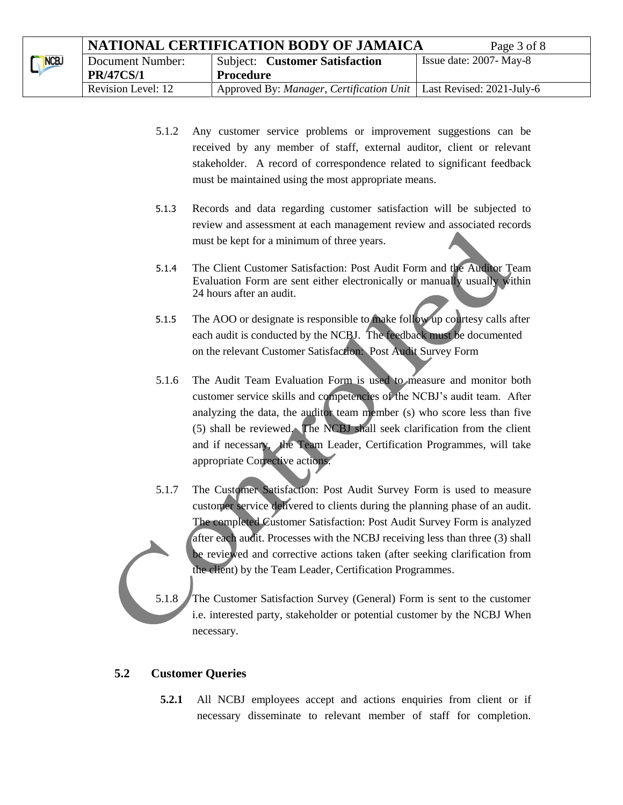|      | NATIONAL CERTIFICATION BODY OF JAMAICA | Page 3 of 8                                                                 |                            |
|------|----------------------------------------|-----------------------------------------------------------------------------|----------------------------|
| NCBJ | Document Number:                       | <b>Subject: Customer Satisfaction</b>                                       | Issue date: $2007 - May-8$ |
|      | <b>PR/47CS/1</b>                       | Procedure                                                                   |                            |
|      | Revision Level: 12                     | Approved By: <i>Manager, Certification Unit</i>   Last Revised: 2021-July-6 |                            |

- 5.1.2 Any customer service problems or improvement suggestions can be received by any member of staff, external auditor, client or relevant stakeholder. A record of correspondence related to significant feedback must be maintained using the most appropriate means.
- 5.1.3 Records and data regarding customer satisfaction will be subjected to review and assessment at each management review and associated records must be kept for a minimum of three years.
- 5.1.4 The Client Customer Satisfaction: Post Audit Form and the Auditor Team Evaluation Form are sent either electronically or manually usually within 24 hours after an audit.
- 5.1.5 The AOO or designate is responsible to make follow up courtesy calls after each audit is conducted by the NCBJ. The feedback must be documented on the relevant Customer Satisfaction: Post Audit Survey Form
- 5.1.6 The Audit Team Evaluation Form is used to measure and monitor both customer service skills and competencies of the NCBJ's audit team. After analyzing the data, the auditor team member (s) who score less than five (5) shall be reviewed. The NCBJ shall seek clarification from the client and if necessary, the Team Leader, Certification Programmes, will take appropriate Corrective actions.
- 5.1.7 The Customer Satisfaction: Post Audit Survey Form is used to measure customer service delivered to clients during the planning phase of an audit. The completed Customer Satisfaction: Post Audit Survey Form is analyzed after each audit. Processes with the NCBJ receiving less than three (3) shall be reviewed and corrective actions taken (after seeking clarification from the client) by the Team Leader, Certification Programmes.

5.1.8 The Customer Satisfaction Survey (General) Form is sent to the customer i.e. interested party, stakeholder or potential customer by the NCBJ When necessary.

#### **5.2 Customer Queries**

**5.2.1** All NCBJ employees accept and actions enquiries from client or if necessary disseminate to relevant member of staff for completion.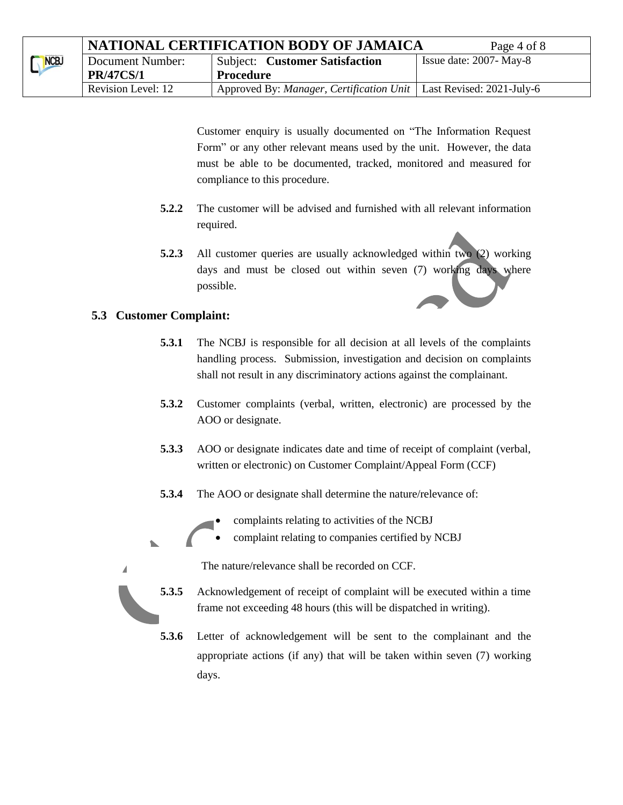|      | NATIONAL CERTIFICATION BODY OF JAMAICA | Page 4 of 8                                                                 |                            |
|------|----------------------------------------|-----------------------------------------------------------------------------|----------------------------|
| NCBJ | Document Number:                       | <b>Subject:</b> Customer Satisfaction                                       | Issue date: $2007 - May-8$ |
|      | <b>PR/47CS/1</b>                       | <b>Procedure</b>                                                            |                            |
|      | Revision Level: 12                     | Approved By: <i>Manager, Certification Unit</i>   Last Revised: 2021-July-6 |                            |

Customer enquiry is usually documented on "The Information Request Form" or any other relevant means used by the unit. However, the data must be able to be documented, tracked, monitored and measured for compliance to this procedure.

- **5.2.2** The customer will be advised and furnished with all relevant information required.
- **5.2.3** All customer queries are usually acknowledged within two (2) working days and must be closed out within seven (7) working days where possible.

#### **5.3 Customer Complaint:**

Δ

- **5.3.1** The NCBJ is responsible for all decision at all levels of the complaints handling process. Submission, investigation and decision on complaints shall not result in any discriminatory actions against the complainant.
- **5.3.2** Customer complaints (verbal, written, electronic) are processed by the AOO or designate.
- **5.3.3** AOO or designate indicates date and time of receipt of complaint (verbal, written or electronic) on Customer Complaint/Appeal Form (CCF)
- **5.3.4** The AOO or designate shall determine the nature/relevance of:



complaint relating to companies certified by NCBJ



- **5.3.5** Acknowledgement of receipt of complaint will be executed within a time frame not exceeding 48 hours (this will be dispatched in writing).
- **5.3.6** Letter of acknowledgement will be sent to the complainant and the appropriate actions (if any) that will be taken within seven (7) working days.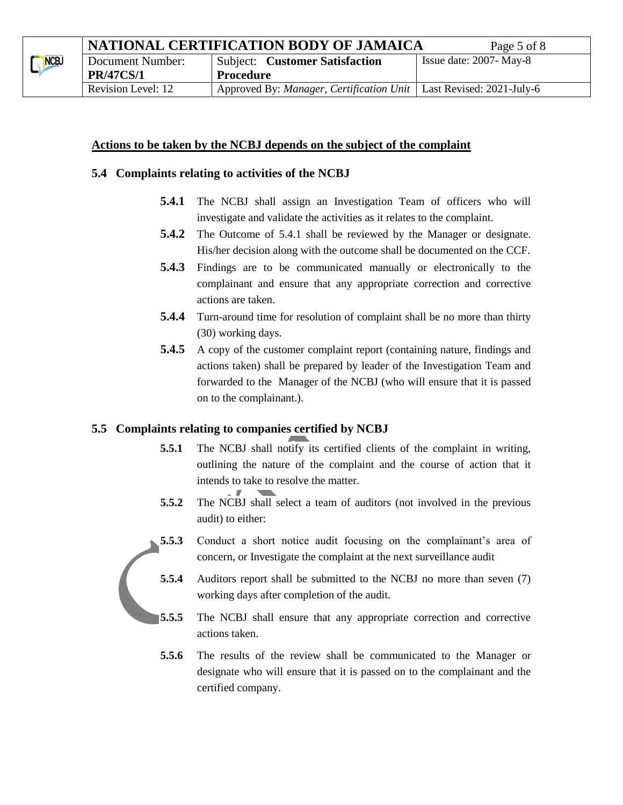#### **Actions to be taken by the NCBJ depends on the subject of the complaint**

#### **5.4 Complaints relating to activities of the NCBJ**

- **5.4.1** The NCBJ shall assign an Investigation Team of officers who will investigate and validate the activities as it relates to the complaint.
- **5.4.2** The Outcome of 5.4.1 shall be reviewed by the Manager or designate. His/her decision along with the outcome shall be documented on the CCF.
- **5.4.3** Findings are to be communicated manually or electronically to the complainant and ensure that any appropriate correction and corrective actions are taken.
- **5.4.4** Turn-around time for resolution of complaint shall be no more than thirty (30) working days.
- **5.4.5** A copy of the customer complaint report (containing nature, findings and actions taken) shall be prepared by leader of the Investigation Team and forwarded to the Manager of the NCBJ (who will ensure that it is passed on to the complainant.).

#### **5.5 Complaints relating to companies certified by NCBJ**

- **5.5.1** The NCBJ shall notify its certified clients of the complaint in writing, outlining the nature of the complaint and the course of action that it intends to take to resolve the matter.
- **5.5.2** The NCBJ shall select a team of auditors (not involved in the previous audit) to either:





- **5.5.5** The NCBJ shall ensure that any appropriate correction and corrective actions taken.
- **5.5.6** The results of the review shall be communicated to the Manager or designate who will ensure that it is passed on to the complainant and the certified company.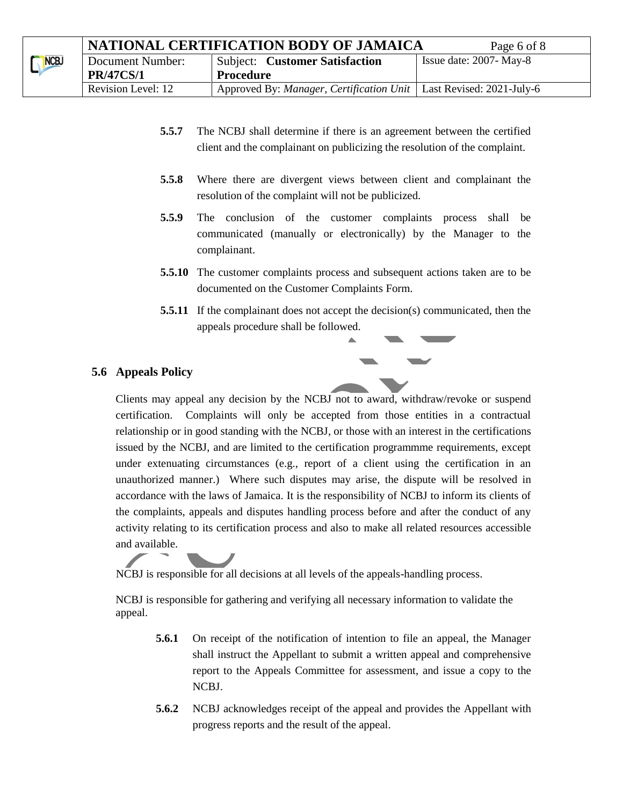|      | NATIONAL CERTIFICATION BODY OF JAMAICA | Page 6 of 8                                                                         |                            |
|------|----------------------------------------|-------------------------------------------------------------------------------------|----------------------------|
| NCBJ | Document Number:                       | <b>Subject: Customer Satisfaction</b>                                               | Issue date: $2007 - May-8$ |
|      | <b>PR/47CS/1</b>                       | Procedure                                                                           |                            |
|      | Revision Level: 12                     | Approved By: <i>Manager</i> , <i>Certification Unit</i>   Last Revised: 2021-July-6 |                            |

- **5.5.7** The NCBJ shall determine if there is an agreement between the certified client and the complainant on publicizing the resolution of the complaint.
- **5.5.8** Where there are divergent views between client and complainant the resolution of the complaint will not be publicized.
- **5.5.9** The conclusion of the customer complaints process shall be communicated (manually or electronically) by the Manager to the complainant.
- **5.5.10** The customer complaints process and subsequent actions taken are to be documented on the Customer Complaints Form.
- **5.5.11** If the complainant does not accept the decision(s) communicated, then the appeals procedure shall be followed.

#### **5.6 Appeals Policy**

Clients may appeal any decision by the NCBJ not to award, withdraw/revoke or suspend certification. Complaints will only be accepted from those entities in a contractual relationship or in good standing with the NCBJ, or those with an interest in the certifications issued by the NCBJ, and are limited to the certification programmme requirements, except under extenuating circumstances (e.g., report of a client using the certification in an unauthorized manner.) Where such disputes may arise, the dispute will be resolved in accordance with the laws of Jamaica. It is the responsibility of NCBJ to inform its clients of the complaints, appeals and disputes handling process before and after the conduct of any activity relating to its certification process and also to make all related resources accessible and available.

NCBJ is responsible for all decisions at all levels of the appeals-handling process.

NCBJ is responsible for gathering and verifying all necessary information to validate the appeal.

- **5.6.1** On receipt of the notification of intention to file an appeal, the Manager shall instruct the Appellant to submit a written appeal and comprehensive report to the Appeals Committee for assessment, and issue a copy to the NCBJ.
- **5.6.2** NCBJ acknowledges receipt of the appeal and provides the Appellant with progress reports and the result of the appeal.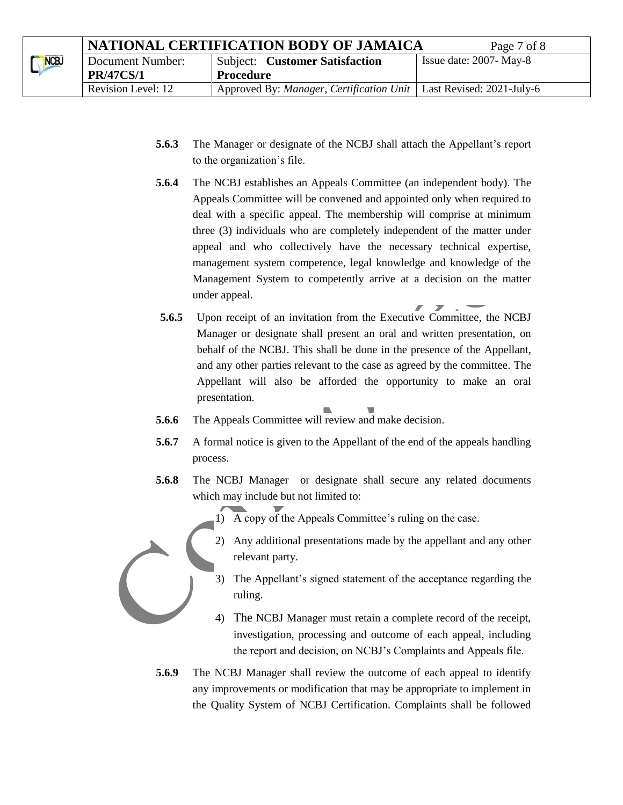|      | NATIONAL CERTIFICATION BODY OF JAMAICA | Page 7 of 8                                                          |                            |
|------|----------------------------------------|----------------------------------------------------------------------|----------------------------|
| NCBJ | Document Number:                       | <b>Subject: Customer Satisfaction</b>                                | Issue date: $2007 - May-8$ |
|      | <b>PR/47CS/1</b>                       | <b>Procedure</b>                                                     |                            |
|      | Revision Level: 12                     | Approved By: Manager, Certification Unit   Last Revised: 2021-July-6 |                            |

- **5.6.3** The Manager or designate of the NCBJ shall attach the Appellant's report to the organization's file.
- **5.6.4** The NCBJ establishes an Appeals Committee (an independent body). The Appeals Committee will be convened and appointed only when required to deal with a specific appeal. The membership will comprise at minimum three (3) individuals who are completely independent of the matter under appeal and who collectively have the necessary technical expertise, management system competence, legal knowledge and knowledge of the Management System to competently arrive at a decision on the matter under appeal.
- **5.6.5** Upon receipt of an invitation from the Executive Committee, the NCBJ Manager or designate shall present an oral and written presentation, on behalf of the NCBJ. This shall be done in the presence of the Appellant, and any other parties relevant to the case as agreed by the committee. The Appellant will also be afforded the opportunity to make an oral presentation.

 $\overline{\phantom{a}}$  $\overline{\phantom{a}}$ 

- **5.6.6** The Appeals Committee will review and make decision.
- **5.6.7** A formal notice is given to the Appellant of the end of the appeals handling process.
- **5.6.8** The NCBJ Manager or designate shall secure any related documents which may include but not limited to:
	- 1) A copy of the Appeals Committee's ruling on the case.
	- 2) Any additional presentations made by the appellant and any other relevant party.
	- 3) The Appellant's signed statement of the acceptance regarding the ruling.
	- 4) The NCBJ Manager must retain a complete record of the receipt, investigation, processing and outcome of each appeal, including the report and decision, on NCBJ's Complaints and Appeals file.
- **5.6.9** The NCBJ Manager shall review the outcome of each appeal to identify any improvements or modification that may be appropriate to implement in the Quality System of NCBJ Certification. Complaints shall be followed